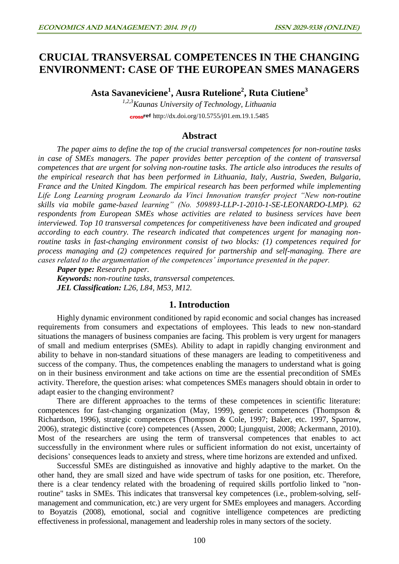# **CRUCIAL TRANSVERSAL COMPETENCES IN THE CHANGING ENVIRONMENT: CASE OF THE EUROPEAN SMES MANAGERS**

**Asta Savaneviciene<sup>1</sup> , Ausra Rutelione<sup>2</sup> , Ruta Ciutiene<sup>3</sup>**

*1,2,3Kaunas University of Technology, Lithuania* cross<sup>ref</sup> <http://dx.doi.org/10.5755/j01.em.19.1.5485>

## **Abstract**

*The paper aims to define the top of the crucial transversal competences for non-routine tasks in case of SMEs managers. The paper provides better perception of the content of transversal competences that are urgent for solving non-routine tasks. The article also introduces the results of the empirical research that has been performed in Lithuania, Italy, Austria, Sweden, Bulgaria, France and the United Kingdom. The empirical research has been performed while implementing Life Long Learning program Leonardo da Vinci Innovation transfer project "New non-routine skills via mobile game-based learning" (No. 509893-LLP-1-2010-1-SE-LEONARDO-LMP). 62 respondents from European SMEs whose activities are related to business services have been interviewed. Top 10 transversal competences for competitiveness have been indicated and grouped according to each country. The research indicated that competences urgent for managing nonroutine tasks in fast-changing environment consist of two blocks: (1) competences required for process managing and (2) competences required for partnership and self-managing. There are cases related to the argumentation of the competences' importance presented in the paper.* 

*Paper type: Research paper. Keywords: non-routine tasks, transversal competences. JEL Classification: L26, L84, M53, M12.*

## **1. Introduction**

Highly dynamic environment conditioned by rapid economic and social changes has increased requirements from consumers and expectations of employees. This leads to new non-standard situations the managers of business companies are facing. This problem is very urgent for managers of small and medium enterprises (SMEs). Ability to adapt in rapidly changing environment and ability to behave in non-standard situations of these managers are leading to competitiveness and success of the company. Thus, the competences enabling the managers to understand what is going on in their business environment and take actions on time are the essential precondition of SMEs activity. Therefore, the question arises: what competences SMEs managers should obtain in order to adapt easier to the changing environment?

There are different approaches to the terms of these competences in scientific literature: competences for fast-changing organization (May, 1999), generic competences (Thompson & Richardson, 1996), strategic competences (Thompson & Cole, 1997; Baker, etc. 1997, Sparrow, 2006), strategic distinctive (core) competences (Assen, 2000; Ljungquist, 2008; Ackermann, 2010). Most of the researchers are using the term of transversal competences that enables to act successfully in the environment where rules or sufficient information do not exist, uncertainty of decisions' consequences leads to anxiety and stress, where time horizons are extended and unfixed.

Successful SMEs are distinguished as innovative and highly adaptive to the market. On the other hand, they are small sized and have wide spectrum of tasks for one position, etc. Therefore, there is a clear tendency related with the broadening of required skills portfolio linked to "nonroutine" tasks in SMEs. This indicates that transversal key competences (i.e., problem-solving, selfmanagement and communication, etc.) are very urgent for SMEs employees and managers. According to Boyatzis (2008), emotional, social and cognitive intelligence competences are predicting effectiveness in professional, management and leadership roles in many sectors of the society.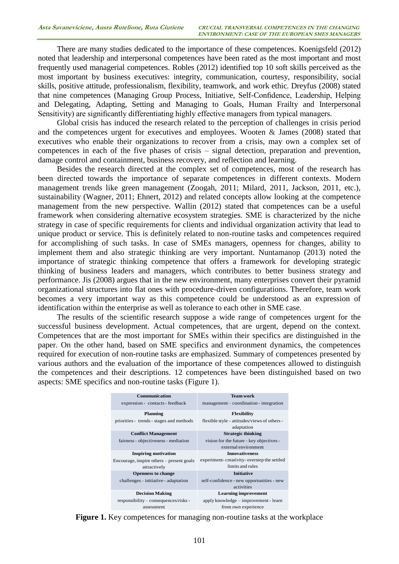There are many studies dedicated to the importance of these competences. Koenigsfeld (2012) noted that leadership and interpersonal competences have been rated as the most important and most frequently used managerial competences. Robles (2012) identified top 10 soft skills perceived as the most important by business executives: integrity, communication, courtesy, responsibility, social skills, positive attitude, professionalism, flexibility, teamwork, and work ethic. Dreyfus (2008) stated that nine competences (Managing Group Process, Initiative, Self-Confidence, Leadership, Helping and Delegating, Adapting, Setting and Managing to Goals, Human Frailty and Interpersonal Sensitivity) are significantly differentiating highly effective managers from typical managers.

Global crisis has induced the research related to the perception of challenges in crisis period and the competences urgent for executives and employees. Wooten & James (2008) stated that executives who enable their organizations to recover from a crisis, may own a complex set of competences in each of the five phases of crisis – signal detection, preparation and prevention, damage control and containment, business recovery, and reflection and learning.

Besides the research directed at the complex set of competences, most of the research has been directed towards the importance of separate competences in different contexts. Modern management trends like green management (Zoogah, 2011; Milard, 2011, Jackson, 2011, etc.), sustainability (Wagner, 2011; Ehnert, 2012) and related concepts allow looking at the competence management from the new perspective. Wallin (2012) stated that competences can be a useful framework when considering alternative ecosystem strategies. SME is characterized by the niche strategy in case of specific requirements for clients and individual organization activity that lead to unique product or service. This is definitely related to non-routine tasks and competences required for accomplishing of such tasks. In case of SMEs managers, openness for changes, ability to implement them and also strategic thinking are very important. Nuntamanop (2013) noted the importance of strategic thinking competence that offers a framework for developing strategic thinking of business leaders and managers, which contributes to better business strategy and performance. Jis (2008) argues that in the new environment, many enterprises convert their pyramid organizational structures into flat ones with procedure-driven configurations. Therefore, team work becomes a very important way as this competence could be understood as an expression of identification within the enterprise as well as tolerance to each other in SME case.

The results of the scientific research suppose a wide range of competences urgent for the successful business development. Actual competences, that are urgent, depend on the context. Competences that are the most important for SMEs within their specifics are distinguished in the paper. On the other hand, based on SME specifics and environment dynamics, the competences required for execution of non-routine tasks are emphasized. Summary of competences presented by various authors and the evaluation of the importance of these competences allowed to distinguish the competences and their descriptions. 12 competences have been distinguished based on two aspects: SME specifics and non-routine tasks (Figure 1).

| Communication                                                                    | <b>Team work</b>                             |  |  |  |  |  |  |  |  |
|----------------------------------------------------------------------------------|----------------------------------------------|--|--|--|--|--|--|--|--|
| expression - contacts - feedback                                                 | management – coordination - integration      |  |  |  |  |  |  |  |  |
| <b>Planning</b>                                                                  | <b>Flexibility</b>                           |  |  |  |  |  |  |  |  |
| priorities - trends - stages and methods                                         | flexible style - attitudes/views of others - |  |  |  |  |  |  |  |  |
|                                                                                  | adaptation                                   |  |  |  |  |  |  |  |  |
| <b>Conflict Management</b>                                                       | <b>Strategic thinking</b>                    |  |  |  |  |  |  |  |  |
| fairness - objectiveness - mediation                                             | vision for the future - key objectives -     |  |  |  |  |  |  |  |  |
|                                                                                  | external environment                         |  |  |  |  |  |  |  |  |
| <b>Inspiring motivation</b>                                                      | <b>Innovativeness</b>                        |  |  |  |  |  |  |  |  |
| Encourage, inspire others – present goals                                        | experiment-creativity-overstep the settled   |  |  |  |  |  |  |  |  |
| attractively                                                                     | limits and rules                             |  |  |  |  |  |  |  |  |
| <b>Openness to change</b>                                                        | <b>Initiative</b>                            |  |  |  |  |  |  |  |  |
| challenges – initiative - adaptation                                             | self-confidence - new opportunities - new    |  |  |  |  |  |  |  |  |
|                                                                                  | activities                                   |  |  |  |  |  |  |  |  |
| <b>Decision Making</b>                                                           | <b>Learning improvement</b>                  |  |  |  |  |  |  |  |  |
| responsibility – consequences/risks -                                            | apply knowledge – improvement - learn        |  |  |  |  |  |  |  |  |
| assessment                                                                       | from own experience                          |  |  |  |  |  |  |  |  |
| <b>Figure 1.</b> Key competences for managing non-routine tasks at the workplace |                                              |  |  |  |  |  |  |  |  |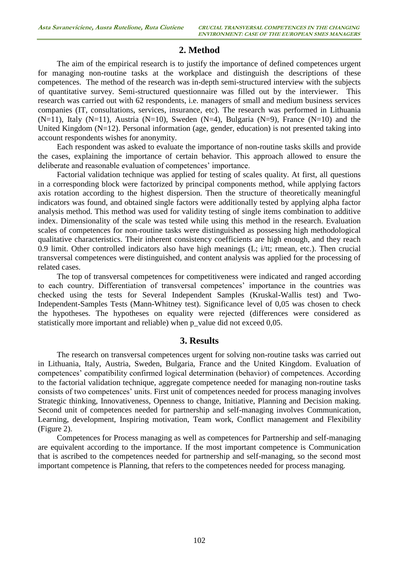## **2. Method**

The aim of the empirical research is to justify the importance of defined competences urgent for managing non-routine tasks at the workplace and distinguish the descriptions of these competences. The method of the research was in-depth semi-structured interview with the subjects of quantitative survey. Semi-structured questionnaire was filled out by the interviewer. This research was carried out with 62 respondents, i.e. managers of small and medium business services companies (IT, consultations, services, insurance, etc). The research was performed in Lithuania  $(N=11)$ , Italy  $(N=11)$ , Austria  $(N=10)$ , Sweden  $(N=4)$ , Bulgaria  $(N=9)$ , France  $(N=10)$  and the United Kingdom (N=12). Personal information (age, gender, education) is not presented taking into account respondents wishes for anonymity.

Each respondent was asked to evaluate the importance of non-routine tasks skills and provide the cases, explaining the importance of certain behavior. This approach allowed to ensure the deliberate and reasonable evaluation of competences' importance.

Factorial validation technique was applied for testing of scales quality. At first, all questions in a corresponding block were factorized by principal components method, while applying factors axis rotation according to the highest dispersion. Then the structure of theoretically meaningful indicators was found, and obtained single factors were additionally tested by applying alpha factor analysis method. This method was used for validity testing of single items combination to additive index. Dimensionality of the scale was tested while using this method in the research. Evaluation scales of competences for non-routine tasks were distinguished as possessing high methodological qualitative characteristics. Their inherent consistency coefficients are high enough, and they reach 0.9 limit. Other controlled indicators also have high meanings (L; i/tt; rmean, etc.). Then crucial transversal competences were distinguished, and content analysis was applied for the processing of related cases.

The top of transversal competences for competitiveness were indicated and ranged according to each country. Differentiation of transversal competences' importance in the countries was checked using the tests for Several Independent Samples (Kruskal-Wallis test) and Two-Independent-Samples Tests (Mann-Whitney test). Significance level of 0,05 was chosen to check the hypotheses. The hypotheses on equality were rejected (differences were considered as statistically more important and reliable) when p\_value did not exceed 0,05.

## **3. Results**

The research on transversal competences urgent for solving non-routine tasks was carried out in Lithuania, Italy, Austria, Sweden, Bulgaria, France and the United Kingdom. Evaluation of competences' compatibility confirmed logical determination (behavior) of competences. According to the factorial validation technique, aggregate competence needed for managing non-routine tasks consists of two competences' units. First unit of competences needed for process managing involves Strategic thinking, Innovativeness, Openness to change, Initiative, Planning and Decision making. Second unit of competences needed for partnership and self-managing involves Communication, Learning, development, Inspiring motivation, Team work, Conflict management and Flexibility (Figure 2).

Competences for Process managing as well as competences for Partnership and self-managing are equivalent according to the importance. If the most important competence is Communication that is ascribed to the competences needed for partnership and self-managing, so the second most important competence is Planning, that refers to the competences needed for process managing.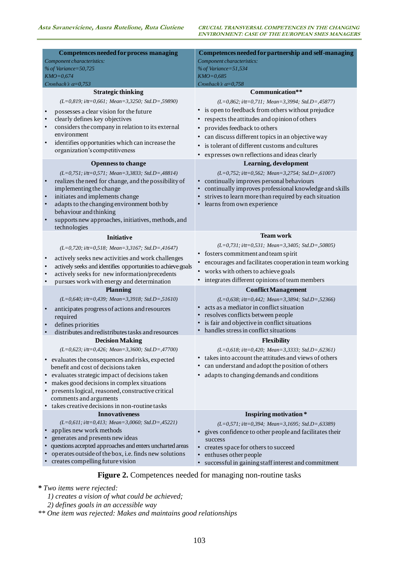| <b>Competences needed for process managing</b>                                                                    | Competences needed for partnership and self-managing                                |  |  |  |  |  |  |  |  |  |  |
|-------------------------------------------------------------------------------------------------------------------|-------------------------------------------------------------------------------------|--|--|--|--|--|--|--|--|--|--|
| Component characteristics:<br>% of Variance=50,725                                                                | Component characteristics:                                                          |  |  |  |  |  |  |  |  |  |  |
| $KMO = 0,674$                                                                                                     | % of Variance=51,534<br>$KMO = 0.685$                                               |  |  |  |  |  |  |  |  |  |  |
| Cronbach's $\alpha = 0.753$                                                                                       | Cronbach's $\alpha = 0.758$                                                         |  |  |  |  |  |  |  |  |  |  |
| <b>Strategic thinking</b>                                                                                         | Communication**                                                                     |  |  |  |  |  |  |  |  |  |  |
| $(L=0,819; i/tt=0,661; Mean=3,3250; Std.D=0,59890)$                                                               | $(L=0.862; i/tt=0.711; Mean=3,3994; Std.D=,45877)$                                  |  |  |  |  |  |  |  |  |  |  |
|                                                                                                                   | • is open to feedback from others without prejudice                                 |  |  |  |  |  |  |  |  |  |  |
| possesses a clear vision for the future<br>clearly defines key objectives                                         | • respects the attitudes and opinion of others                                      |  |  |  |  |  |  |  |  |  |  |
| considers the company in relation to its external                                                                 | provides feedback to others                                                         |  |  |  |  |  |  |  |  |  |  |
| environment                                                                                                       | can discuss different topics in an objective way                                    |  |  |  |  |  |  |  |  |  |  |
| identifies opportunities which can increase the                                                                   | is tolerant of different customs and cultures                                       |  |  |  |  |  |  |  |  |  |  |
| organization's competitiveness                                                                                    |                                                                                     |  |  |  |  |  |  |  |  |  |  |
|                                                                                                                   | expresses own reflections and ideas clearly                                         |  |  |  |  |  |  |  |  |  |  |
| <b>Openness to change</b>                                                                                         | Learning, development                                                               |  |  |  |  |  |  |  |  |  |  |
| $(L=0, 751; i/tt=0, 571; Mean=3, 3833; Std.D =, 48814)$                                                           | $(L=0.752; i/tt=0.562; Mean=3.2754; Std.D=0.61007)$                                 |  |  |  |  |  |  |  |  |  |  |
| realizes the need for change, and the possibility of                                                              | • continually improves personal behaviours                                          |  |  |  |  |  |  |  |  |  |  |
| implementing the change                                                                                           | continually improves professional knowledge and skills                              |  |  |  |  |  |  |  |  |  |  |
| initiates and implements change<br>adapts to the changing environment both by                                     | strives to learn more than required by each situation<br>learns from own experience |  |  |  |  |  |  |  |  |  |  |
| behaviour and thinking                                                                                            |                                                                                     |  |  |  |  |  |  |  |  |  |  |
| supports new approaches, initiatives, methods, and                                                                |                                                                                     |  |  |  |  |  |  |  |  |  |  |
| technologies                                                                                                      |                                                                                     |  |  |  |  |  |  |  |  |  |  |
| <b>Initiative</b>                                                                                                 | <b>Team work</b>                                                                    |  |  |  |  |  |  |  |  |  |  |
| (L=0,720; i/tt=0,518; Mean=3,3167; Std.D=,41647)                                                                  | $(L=0.731; i/tt=0.531; Mean=3,3405; Std.D=0.50805)$                                 |  |  |  |  |  |  |  |  |  |  |
|                                                                                                                   | • fosters commitment and team spirit                                                |  |  |  |  |  |  |  |  |  |  |
| actively seeks new activities and work challenges<br>actively seeks and identifies opportunities to achieve goals | encourages and facilitates cooperation in team working                              |  |  |  |  |  |  |  |  |  |  |
| actively seeks for new information/precedents                                                                     | • works with others to achieve goals                                                |  |  |  |  |  |  |  |  |  |  |
| pursues work with energy and determination                                                                        | integrates different opinions of team members                                       |  |  |  |  |  |  |  |  |  |  |
| <b>Planning</b>                                                                                                   | <b>Conflict Management</b>                                                          |  |  |  |  |  |  |  |  |  |  |
| (L=0,640; i/tt=0,439; Mean=3,3918; Std.D=,51610)                                                                  | $(L=0.638; i/tt=0.442; Mean=3.3894; Std.D=0.52366)$                                 |  |  |  |  |  |  |  |  |  |  |
| anticipates progress of actions and resources                                                                     | acts as a mediator in conflict situation                                            |  |  |  |  |  |  |  |  |  |  |
| required                                                                                                          | resolves conflicts between people                                                   |  |  |  |  |  |  |  |  |  |  |
| defines priorities                                                                                                | is fair and objective in conflict situations                                        |  |  |  |  |  |  |  |  |  |  |
| distributes and redistributes tasks and resources                                                                 | handles stress in conflict situations                                               |  |  |  |  |  |  |  |  |  |  |
| <b>Decision Making</b>                                                                                            | <b>Flexibility</b>                                                                  |  |  |  |  |  |  |  |  |  |  |
| $(L=0.623; i/tt=0.426; Mean=3,3600; Std.D=,47700)$                                                                | $(L=0.618; i/tt=0.420; Mean=3.3333; Std.D=0.62361)$                                 |  |  |  |  |  |  |  |  |  |  |
| evaluates the consequences and risks, expected                                                                    | takes into account the attitudes and views of others                                |  |  |  |  |  |  |  |  |  |  |
| benefit and cost of decisions taken                                                                               | can understand and adopt the position of others                                     |  |  |  |  |  |  |  |  |  |  |
| evaluates strategic impact of decisions taken                                                                     | adapts to changing demands and conditions                                           |  |  |  |  |  |  |  |  |  |  |
| makes good decisions in complex situations                                                                        |                                                                                     |  |  |  |  |  |  |  |  |  |  |
| presents logical, reasoned, constructive critical                                                                 |                                                                                     |  |  |  |  |  |  |  |  |  |  |
| comments and arguments                                                                                            |                                                                                     |  |  |  |  |  |  |  |  |  |  |
| takes creative decisions in non-routine tasks<br><b>Innovativeness</b>                                            |                                                                                     |  |  |  |  |  |  |  |  |  |  |
| (L=0,611; i/tt=0,413; Mean=3,0060; Std.D=,45221)                                                                  | <b>Inspiring motivation</b> *                                                       |  |  |  |  |  |  |  |  |  |  |
| applies new work methods                                                                                          | $(L=0, 571; i/tt=0, 394; Mean=3, 1695; Std.D = 0.63389)$                            |  |  |  |  |  |  |  |  |  |  |
| generates and presents new ideas                                                                                  | gives confidence to other people and facilitates their<br>success                   |  |  |  |  |  |  |  |  |  |  |
| questions accepted approaches and enters uncharted areas                                                          | creates space for others to succeed                                                 |  |  |  |  |  |  |  |  |  |  |
| operates outside of the box, i.e. finds new solutions                                                             | enthuses other people                                                               |  |  |  |  |  |  |  |  |  |  |
| creates compelling future vision                                                                                  | successful in gaining staff interest and commitment                                 |  |  |  |  |  |  |  |  |  |  |
|                                                                                                                   |                                                                                     |  |  |  |  |  |  |  |  |  |  |
|                                                                                                                   | <b>Figure 2.</b> Competences needed for managing non-routine tasks                  |  |  |  |  |  |  |  |  |  |  |
| * Two items were rejected:                                                                                        |                                                                                     |  |  |  |  |  |  |  |  |  |  |
| 1) creates a vision of what could be achieved;                                                                    |                                                                                     |  |  |  |  |  |  |  |  |  |  |
| 2) defines goals in an accessible way                                                                             |                                                                                     |  |  |  |  |  |  |  |  |  |  |
| ** One item was rejected: Makes and maintains good relationships                                                  |                                                                                     |  |  |  |  |  |  |  |  |  |  |

#### **Figure 2.** Competences needed for managing non-routine tasks

*2) defines goals in an accessible way*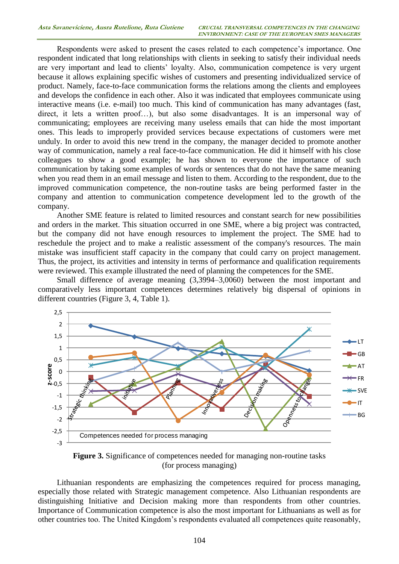Respondents were asked to present the cases related to each competence's importance. One respondent indicated that long relationships with clients in seeking to satisfy their individual needs are very important and lead to clients' loyalty. Also, communication competence is very urgent because it allows explaining specific wishes of customers and presenting individualized service of product. Namely, face-to-face communication forms the relations among the clients and employees and develops the confidence in each other. Also it was indicated that employees communicate using interactive means (i.e. e-mail) too much. This kind of communication has many advantages (fast, direct, it lets a written proof…), but also some disadvantages. It is an impersonal way of communicating; employees are receiving many useless emails that can hide the most important ones. This leads to improperly provided services because expectations of customers were met unduly. In order to avoid this new trend in the company, the manager decided to promote another way of communication, namely a real face-to-face communication. He did it himself with his close colleagues to show a good example; he has shown to everyone the importance of such communication by taking some examples of words or sentences that do not have the same meaning when you read them in an email message and listen to them. According to the respondent, due to the improved communication competence, the non-routine tasks are being performed faster in the company and attention to communication competence development led to the growth of the company.

Another SME feature is related to limited resources and constant search for new possibilities and orders in the market. This situation occurred in one SME, where a big project was contracted, but the company did not have enough resources to implement the project. The SME had to reschedule the project and to make a realistic assessment of the company's resources. The main mistake was insufficient staff capacity in the company that could carry on project management. Thus, the project, its activities and intensity in terms of performance and qualification requirements were reviewed. This example illustrated the need of planning the competences for the SME.

Small difference of average meaning (3,3994–3,0060) between the most important and comparatively less important competences determines relatively big dispersal of opinions in different countries (Figure 3, 4, Table 1).



**Figure 3.** Significance of competences needed for managing non-routine tasks (for process managing)

Lithuanian respondents are emphasizing the competences required for process managing, especially those related with Strategic management competence. Also Lithuanian respondents are distinguishing Initiative and Decision making more than respondents from other countries. Importance of Communication competence is also the most important for Lithuanians as well as for other countries too. The United Kingdom's respondents evaluated all competences quite reasonably,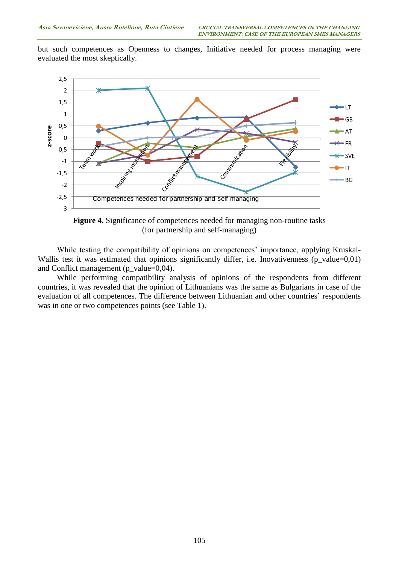but such competences as Openness to changes, Initiative needed for process managing were evaluated the most skeptically.



**Figure 4.** Significance of competences needed for managing non-routine tasks (for partnership and self-managing)

While testing the compatibility of opinions on competences' importance, applying Kruskal-Wallis test it was estimated that opinions significantly differ, i.e. Inovativenness (p\_value=0,01) and Conflict management (p\_value=0,04).

While performing compatibility analysis of opinions of the respondents from different countries, it was revealed that the opinion of Lithuanians was the same as Bulgarians in case of the evaluation of all competences. The difference between Lithuanian and other countries' respondents was in one or two competences points (see Table 1).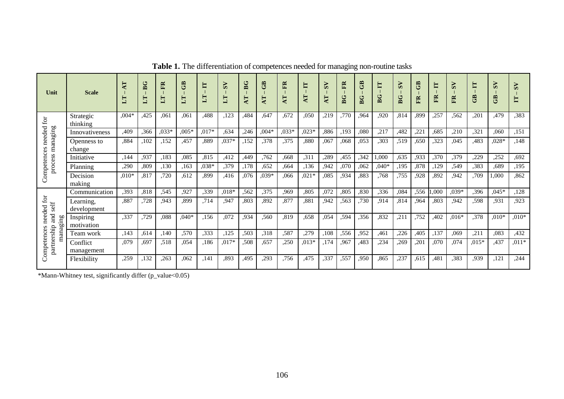| Unit                                                                                             | <b>Scale</b>             | Ę       | B G<br>E | ER<br>5  | GB<br>$\mathbb{L}$ | E       | $\overline{S}$<br>$\mathbb{H}$ | BG<br>4T | සී<br>$\mathbf{F}$ | FR<br>AT <sub></sub> | E<br>⊨<br>∢ | ⋗<br>j۵<br>AT | E<br>BG | GB<br>BG | E<br>BG | $\check{s}$<br>BG | GB<br>ER | E<br>ER | $\mathbf{S}$<br>ER | E<br>GB | $\omega$<br>සි | $\overline{S}$<br>E |
|--------------------------------------------------------------------------------------------------|--------------------------|---------|----------|----------|--------------------|---------|--------------------------------|----------|--------------------|----------------------|-------------|---------------|---------|----------|---------|-------------------|----------|---------|--------------------|---------|----------------|---------------------|
| $\operatorname{for}$<br>needed<br>process managing<br>Competences                                | Strategic<br>thinking    | $0.04*$ | ,425     | .061     | ,061               | .488    | ,123                           | .484     | .647               | ,672                 | .050        | ,219          | .770    | .964     | ,920    | .814              | .899     | ,257    | .562               | ,201    | ,479           | .383                |
|                                                                                                  | Innovativeness           | ,409    | ,366     | $0.033*$ | $,005*$            | $,017*$ | .634                           | .246     | $0.04*$            | $,033*$              | $,023*$     | ,886          | .193    | ,080     | ,217    | .482              | ,221     | .685    | ,210               | .321    | ,060           | ,151                |
|                                                                                                  | Openness to<br>change    | ,884    | ,102     | ,152     | .457               | .889    | $,037*$                        | .152     | ,378               | ,375                 | .880        | ,067          | .068    | ,053     | .303    | .519              | ,650     | ,323    | .045               | .483    | $.028*$        | ,148                |
|                                                                                                  | Initiative               | .144    | ,937     | ,183     | ,085               | ,815    | ,412                           | ,449     | .762               | .668                 | , 311       | ,289          | ,455    | ,342     | 000,    | .635              | ,933     | ,370    | ,379               | .229    | ,252           | .692                |
|                                                                                                  | Planning                 | ,290    | .809     | ,130     | .163               | ,038*   | ,379                           | .178     | .652               | .664                 | .136        | ,942          | .070    | ,062     | $040*$  | ,195              | ,878     | ,129    | .549               | .383    | .689           | ,195                |
|                                                                                                  | Decision<br>making       | $.010*$ | ,817     | ,720     | .612               | .899    | .416                           | .076     | $,039*$            | .066                 | $0.021*$    | ,085          | .934    | ,883     | .768    | ,755              | .928     | ,892    | .942               | ,709    | 1,000          | ,862                |
| needed for<br>$\mathbf{s}\mathbf{eff}$<br>$_{\rm rad}$<br>managing<br>partnership<br>Competences | Communication            | .393    | .818     | .545     | .927               | .339    | $.018*$                        | .562     | ,375               | .969                 | .805        | .072          | .805    | ,830     | ,336    | .084              | ,556     | 000.    | $.039*$            | .396    | $.045*$        | ,128                |
|                                                                                                  | Learning,<br>development | .887    | ,728     | .943     | ,899               | ,714    | .947                           | .803     | .892               | .877                 | .881        | ,942          | .563    | ,730     | .914    | .814              | .964     | ,803    | ,942               | .598    | .931           | ,923                |
|                                                                                                  | Inspiring<br>motivation  | ,337    | ,729     | ,088     | $,040*$            | ,156    | ,072                           | .934     | .560               | ,819                 | .658        | ,054          | ,594    | ,356     | ,832    | ,211              | ,752     | ,402    | $,016*$            | ,378    | $,010*$        | $,010*$             |
|                                                                                                  | Team work                | ,143    | .614     | .140     | ,570               | ,333    | ,125                           | .503     | .318               | ,587                 | ,279        | ,108          | .556    | ,952     | ,461    | ,226              | ,405     | ,137    | ,069               | ,211    | ,083           | ,432                |
|                                                                                                  | Conflict<br>management   | ,079    | .697     | ,518     | .054               | ,186    | $,017*$                        | .508     | ,657               | ,250                 | $0.013*$    | ,174          | .967    | .483     | ,234    | ,269              | .201     | ,070    | ,074               | $,015*$ | ,437           | $,011*$             |
|                                                                                                  | Flexibility              | .259    | ,132     | .263     | ,062               | .141    | ,893                           | .495     | ,293               | .756                 | .475        | ,337          | .557    | .950     | .865    | ,237              | .615     | .481    | ,383               | .939    | ,121           | ,244                |

**Table 1.** The differentiation of competences needed for managing non-routine tasks

\*Mann-Whitney test, significantly differ (p\_value<0.05)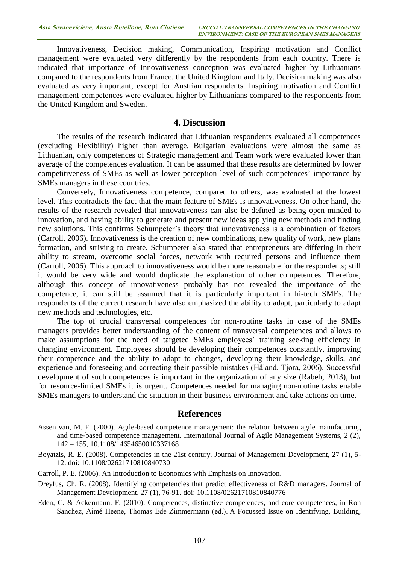Innovativeness, Decision making, Communication, Inspiring motivation and Conflict management were evaluated very differently by the respondents from each country. There is indicated that importance of Innovativeness conception was evaluated higher by Lithuanians compared to the respondents from France, the United Kingdom and Italy. Decision making was also evaluated as very important, except for Austrian respondents. Inspiring motivation and Conflict management competences were evaluated higher by Lithuanians compared to the respondents from the United Kingdom and Sweden.

#### **4. Discussion**

The results of the research indicated that Lithuanian respondents evaluated all competences (excluding Flexibility) higher than average. Bulgarian evaluations were almost the same as Lithuanian, only competences of Strategic management and Team work were evaluated lower than average of the competences evaluation. It can be assumed that these results are determined by lower competitiveness of SMEs as well as lower perception level of such competences' importance by SMEs managers in these countries.

Conversely, Innovativeness competence, compared to others, was evaluated at the lowest level. This contradicts the fact that the main feature of SMEs is innovativeness. On other hand, the results of the research revealed that innovativeness can also be defined as being open-minded to innovation, and having ability to generate and present new ideas applying new methods and finding new solutions. This confirms Schumpeter's theory that innovativeness is a combination of factors (Carroll, 2006). Innovativeness is the creation of new combinations, new quality of work, new plans formation, and striving to create. Schumpeter also stated that entrepreneurs are differing in their ability to stream, overcome social forces, network with required persons and influence them (Carroll, 2006). This approach to innovativeness would be more reasonable for the respondents; still it would be very wide and would duplicate the explanation of other competences. Therefore, although this concept of innovativeness probably has not revealed the importance of the competence, it can still be assumed that it is particularly important in hi-tech SMEs. The respondents of the current research have also emphasized the ability to adapt, particularly to adapt new methods and technologies, etc.

The top of crucial transversal competences for non-routine tasks in case of the SMEs managers provides better understanding of the content of transversal competences and allows to make assumptions for the need of targeted SMEs employees' training seeking efficiency in changing environment. Employees should be developing their competences constantly, improving their competence and the ability to adapt to changes, developing their knowledge, skills, and experience and foreseeing and correcting their possible mistakes (Håland, Tjora, 2006). Successful development of such competences is important in the organization of any size (Rabeh, 2013), but for resource-limited SMEs it is urgent. Competences needed for managing non-routine tasks enable SMEs managers to understand the situation in their business environment and take actions on time.

#### **References**

- Assen van, M. F. (2000). Agile-based competence management: the relation between agile manufacturing and time-based competence management. International Journal of Agile Management Systems, 2 (2), 142 – 155, [10.1108/14654650010337168](http://dx.doi.org/10.1108/14654650010337168)
- Boyatzis, R. E. (2008). Competencies in the 21st century. Journal of Management Development, 27 (1), 5- 12. doi: 10.1108/02621710810840730
- Carroll, P. E. (2006). An Introduction to Economics with Emphasis on Innovation.
- Dreyfus, Ch. R. (2008). Identifying competencies that predict effectiveness of R&D managers. Journal of Management Development. 27 (1), 76-91. doi: 10.1108/02621710810840776
- Eden, C. & Ackermann. F. (2010). Competences, distinctive competences, and core competences, in Ron Sanchez, Aimé Heene, Thomas Ede Zimmermann (ed.). A Focussed Issue on Identifying, Building,